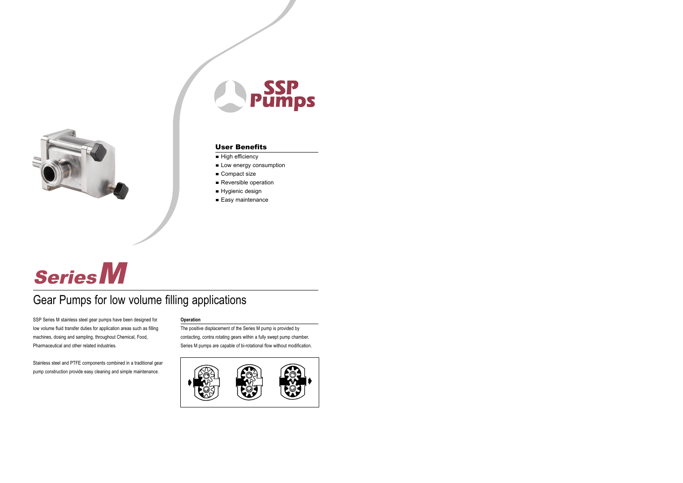



# User Benefits

- High efficiency
- Low energy consumption
- Compact size
- Reversible operation
- Hygienic design
- Easy maintenance

# SeriesM

# Gear Pumps for low volume filling applications

SSP Series M stainless steel gear pumps have been designed for low volume fluid transfer duties for application areas such as filling machines, dosing and sampling, throughout Chemical, Food, Pharmaceutical and other related industries.

Stainless steel and PTFE components combined in a traditional gear pump construction provide easy cleaning and simple maintenance.

#### **Operation**

The positive displacement of the Series M pump is provided by contacting, contra rotating gears within a fully swept pump chamber. Series M pumps are capable of bi-rotational flow without modification.

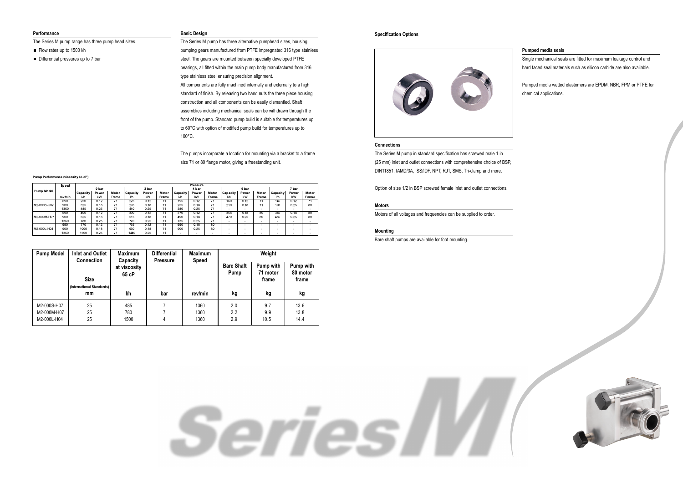#### **Performance**

The Series M pump range has three pump head sizes.

- Flow rates up to 1500 l/h
- Differential pressures up to 7 bar

#### **Basic Design**

The Series M pump has three alternative pumphead sizes, housing pumping gears manufactured from PTFE impregnated 316 type stainless steel. The gears are mounted between specially developed PTFE bearings, all fitted within the main pump body manufactured from 316 type stainless steel ensuring precision alignment. All components are fully machined internally and externally to a high standard of finish. By releasing two hand nuts the three piece housing construction and all components can be easily dismantled. Shaft assemblies including mechanical seals can be withdrawn through the front of the pump. Standard pump build is suitable for temperatures up to 60°C with option of modified pump build for temperatures up to 100°C.

The pumps incorporate a location for mounting via a bracket to a frame size 71 or 80 flange motor, giving a freestanding unit.

Serres

#### **Specification Options**



#### **Connections**

The Series M pump in standard specification has screwed male 1 in (25 mm) inlet and outlet connections with comprehensive choice of BSP, DIN11851, IAMD/3A, ISS/IDF, NPT, RJT, SMS, Tri-clamp and more.

Option of size 1/2 in BSP screwed female inlet and outlet connections.

#### **Motors**

Motors of all voltages and frequencies can be supplied to order.

#### **Mounting**

Bare shaft pumps are available for foot mounting.

### **Pumped media seals**

Single mechanical seals are fitted for maximum leakage control and hard faced seal materials such as silicon carbide are also available.

Pumped media wetted elastomers are EPDM, NBR, FPM or PTFE for chemical applications.



#### Pump Performance (viscosity 65 cP)

|                   | Speed   |          | Pressure |       |          |       |       |          |       |                          |          |       |                          |              |                          |       |
|-------------------|---------|----------|----------|-------|----------|-------|-------|----------|-------|--------------------------|----------|-------|--------------------------|--------------|--------------------------|-------|
|                   |         | 0 bar    |          |       | 2 bar    |       |       | 4 bar    |       |                          | 6 bar    |       |                          | 7 bar        |                          |       |
| <b>Pump Model</b> |         | Capacity | Power    | Motor | Capacity | Power | Motor | Capacity | Power | Motor                    | Capacity | Power | Motor                    | Capacity     | Power                    | Motor |
|                   | rev/min | I/h      | kW       | Frame | l/h      | kW    | Frame | 1/h      | kW    | Frame                    | l/h      | kW    | Frame                    | I/h          | kW                       | Frame |
|                   | 690     | 250      | 0.12     |       | 225      | 0.12  |       | 195      | 0.12  |                          | 160      | 0.12  |                          | 145          | 0.12                     |       |
| M2-000S-H07       | 900     | 325      | 0.18     |       | 295      | 0.18  | 71    | 255      | 0.18  | 71                       | 210      | 0.18  |                          | 190          | 0.25                     | 80    |
|                   | 1360    | 485      | 0.25     |       | 440      | 0.25  |       | 380      | 0.25  | 71                       | $\sim$   |       | $\overline{\phantom{a}}$ |              | $\overline{\phantom{a}}$ |       |
|                   | 690     | 400      | 0.12     |       | 390      | 0.12  | 71    | 370      | 0.12  | 71                       | 358      | 0.18  | 80                       | 345          | 0.18                     | 80    |
| M2-000M-H07       | 900     | 525      | 0.18     | 71    | 515      | 0.18  | 71    | 490      | 0.18  | 71                       | 470      | 0.25  | 80                       | 455          | 0.25                     | 80    |
|                   | 1360    | 780      | 0.25     |       | 770      | 0.25  |       | 735      | 0.25  | 71                       | -        |       |                          |              |                          |       |
|                   | 690     | 770      | 0.12     |       | 735      | 0.12  |       | 690      | 0.18  | 80                       |          |       |                          |              |                          |       |
| M2-000L-H04       | 900     | 1000     | 0.18     | 71    | 960      | 0.18  | 71    | 900      | 0.25  | 80                       |          |       |                          |              |                          |       |
|                   | 1360    | 1500     | 0.25     |       | 1440     | 0.25  | 71    |          |       | $\overline{\phantom{0}}$ |          |       |                          | <b>COLUM</b> |                          |       |

| Weight                |  |  |  |  |
|-----------------------|--|--|--|--|
| Pump with<br>80 motor |  |  |  |  |
| frame                 |  |  |  |  |
|                       |  |  |  |  |
| kg                    |  |  |  |  |
| 13.6                  |  |  |  |  |
| 13.8                  |  |  |  |  |
| 14.4                  |  |  |  |  |
|                       |  |  |  |  |